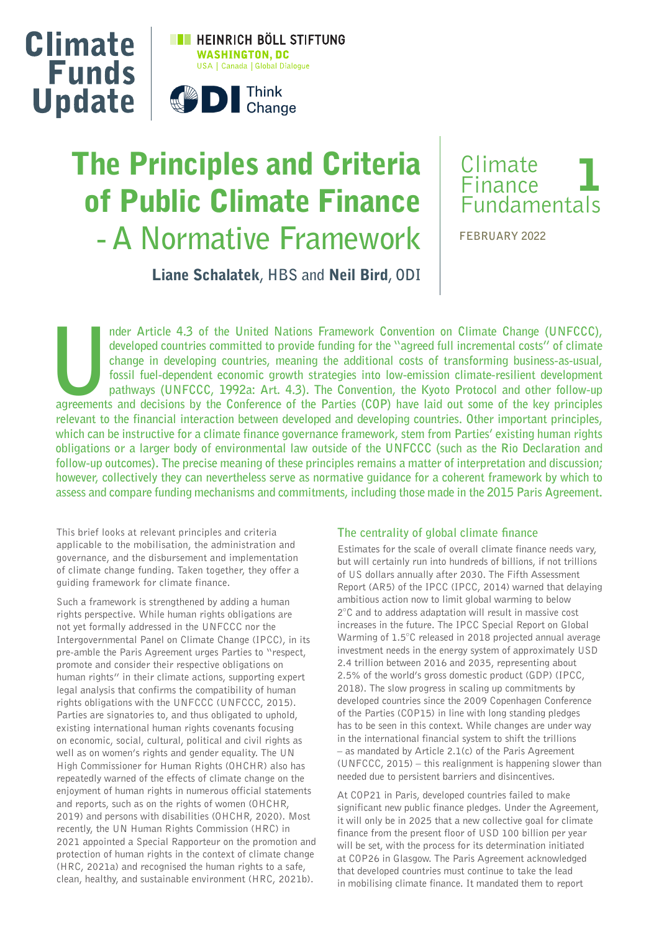

# The Principles and Criteria of Public Climate Finance **- A Normative Framework**



**FEBRUARY 2022**

Liane Schalatek**, HBS and** Neil Bird**, ODI**

nder Article 4.3 of the United Nations Framework Convention on Climate Change (UNFCCC), developed countries committed to provide funding for the "agreed full incremental costs" of climate change in developing countries, me **developed countries committed to provide funding for the "agreed full incremental costs" of climate change in developing countries, meaning the additional costs of transforming business-as-usual, fossil fuel-dependent economic growth strategies into low-emission climate-resilient development pathways (UNFCCC, 1992a: Art. 4.3). The Convention, the Kyoto Protocol and other follow-up relevant to the financial interaction between developed and developing countries. Other important principles, which can be instructive for a climate finance governance framework, stem from Parties' existing human rights obligations or a larger body of environmental law outside of the UNFCCC (such as the Rio Declaration and follow-up outcomes). The precise meaning of these principles remains a matter of interpretation and discussion; however, collectively they can nevertheless serve as normative guidance for a coherent framework by which to assess and compare funding mechanisms and commitments, including those made in the 2015 Paris Agreement.**

This brief looks at relevant principles and criteria applicable to the mobilisation, the administration and governance, and the disbursement and implementation of climate change funding. Taken together, they offer a guiding framework for climate finance.

Such a framework is strengthened by adding a human rights perspective. While human rights obligations are not yet formally addressed in the UNFCCC nor the Intergovernmental Panel on Climate Change (IPCC), in its pre-amble the Paris Agreement urges Parties to "respect, promote and consider their respective obligations on human rights" in their climate actions, supporting expert legal analysis that confirms the compatibility of human rights obligations with the UNFCCC (UNFCCC, 2015). Parties are signatories to, and thus obligated to uphold, existing international human rights covenants focusing on economic, social, cultural, political and civil rights as well as on women's rights and gender equality. The UN High Commissioner for Human Rights (OHCHR) also has repeatedly warned of the effects of climate change on the enjoyment of human rights in numerous official statements and reports, such as on the rights of women (OHCHR, 2019) and persons with disabilities (OHCHR, 2020). Most recently, the UN Human Rights Commission (HRC) in 2021 appointed a Special Rapporteur on the promotion and protection of human rights in the context of climate change (HRC, 2021a) and recognised the human rights to a safe, clean, healthy, and sustainable environment (HRC, 2021b).

## **The centrality of global climate !nance**

Estimates for the scale of overall climate finance needs vary, but will certainly run into hundreds of billions, if not trillions of US dollars annually after 2030. The Fifth Assessment Report (AR5) of the IPCC (IPCC, 2014) warned that delaying ambitious action now to limit global warming to below 2°C and to address adaptation will result in massive cost increases in the future. The IPCC Special Report on Global Warming of 1.5°C released in 2018 projected annual average investment needs in the energy system of approximately USD 2.4 trillion between 2016 and 2035, representing about 2.5% of the world's gross domestic product (GDP) (IPCC, 2018). The slow progress in scaling up commitments by developed countries since the 2009 Copenhagen Conference of the Parties (COP15) in line with long standing pledges has to be seen in this context. While changes are under way in the international financial system to shift the trillions – as mandated by Article 2.1(c) of the Paris Agreement (UNFCCC, 2015) – this realignment is happening slower than needed due to persistent barriers and disincentives.

At COP21 in Paris, developed countries failed to make significant new public finance pledges. Under the Agreement, it will only be in 2025 that a new collective goal for climate finance from the present floor of USD 100 billion per year will be set, with the process for its determination initiated at COP26 in Glasgow. The Paris Agreement acknowledged that developed countries must continue to take the lead in mobilising climate finance. It mandated them to report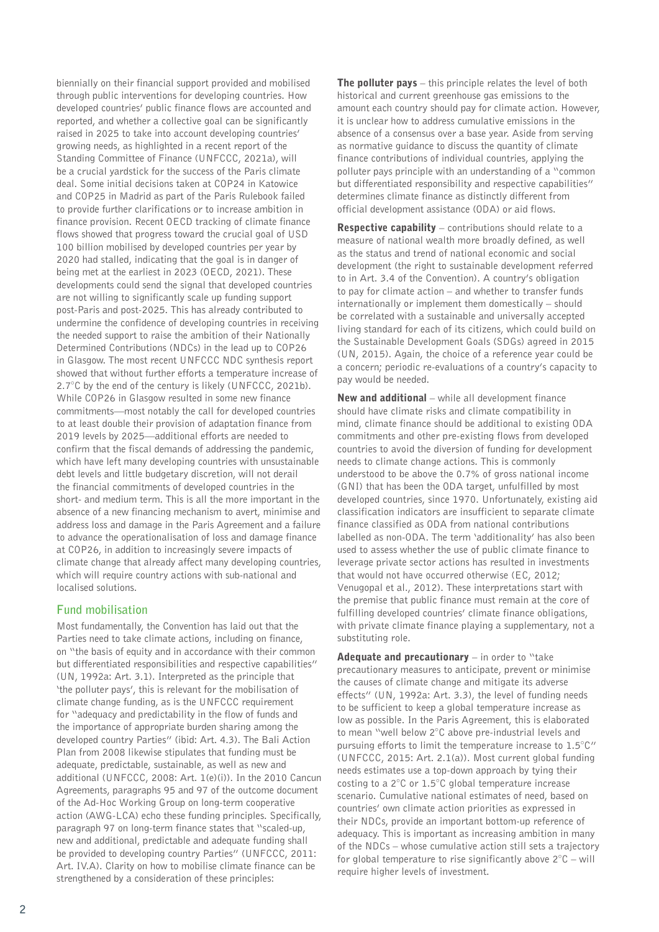biennially on their financial support provided and mobilised through public interventions for developing countries. How developed countries' public finance flows are accounted and reported, and whether a collective goal can be significantly raised in 2025 to take into account developing countries' growing needs, as highlighted in a recent report of the Standing Committee of Finance (UNFCCC, 2021a), will be a crucial yardstick for the success of the Paris climate deal. Some initial decisions taken at COP24 in Katowice and COP25 in Madrid as part of the Paris Rulebook failed to provide further clarifications or to increase ambition in finance provision. Recent OECD tracking of climate finance flows showed that progress toward the crucial goal of USD 100 billion mobilised by developed countries per year by 2020 had stalled, indicating that the goal is in danger of being met at the earliest in 2023 (OECD, 2021). These developments could send the signal that developed countries are not willing to significantly scale up funding support post-Paris and post-2025. This has already contributed to undermine the confidence of developing countries in receiving the needed support to raise the ambition of their Nationally Determined Contributions (NDCs) in the lead up to COP26 in Glasgow. The most recent UNFCCC NDC synthesis report showed that without further efforts a temperature increase of 2.7°C by the end of the century is likely (UNFCCC, 2021b). While COP26 in Glasgow resulted in some new finance commitments—most notably the call for developed countries to at least double their provision of adaptation finance from 2019 levels by 2025—additional efforts are needed to confirm that the fiscal demands of addressing the pandemic, which have left many developing countries with unsustainable debt levels and little budgetary discretion, will not derail the financial commitments of developed countries in the short- and medium term. This is all the more important in the absence of a new financing mechanism to avert, minimise and address loss and damage in the Paris Agreement and a failure to advance the operationalisation of loss and damage finance at COP26, in addition to increasingly severe impacts of climate change that already affect many developing countries, which will require country actions with sub-national and localised solutions.

# **Fund mobilisation**

Most fundamentally, the Convention has laid out that the Parties need to take climate actions, including on finance, on "the basis of equity and in accordance with their common but differentiated responsibilities and respective capabilities" (UN, 1992a: Art. 3.1). Interpreted as the principle that 'the polluter pays', this is relevant for the mobilisation of climate change funding, as is the UNFCCC requirement for "adequacy and predictability in the flow of funds and the importance of appropriate burden sharing among the developed country Parties" (ibid: Art. 4.3). The Bali Action Plan from 2008 likewise stipulates that funding must be adequate, predictable, sustainable, as well as new and additional (UNFCCC, 2008: Art. 1(e)(i)). In the 2010 Cancun Agreements, paragraphs 95 and 97 of the outcome document of the Ad-Hoc Working Group on long-term cooperative action (AWG-LCA) echo these funding principles. Specifically, paragraph 97 on long-term finance states that "scaled-up, new and additional, predictable and adequate funding shall be provided to developing country Parties" (UNFCCC, 2011: Art. IV.A). Clarity on how to mobilise climate finance can be strengthened by a consideration of these principles:

**The polluter pays**  $-$  this principle relates the level of both historical and current greenhouse gas emissions to the amount each country should pay for climate action. However, it is unclear how to address cumulative emissions in the absence of a consensus over a base year. Aside from serving as normative guidance to discuss the quantity of climate finance contributions of individual countries, applying the polluter pays principle with an understanding of a "common but differentiated responsibility and respective capabilities" determines climate finance as distinctly different from official development assistance (ODA) or aid flows.

**Respective capability** – contributions should relate to a measure of national wealth more broadly defined, as well as the status and trend of national economic and social development (the right to sustainable development referred to in Art. 3.4 of the Convention). A country's obligation to pay for climate action – and whether to transfer funds internationally or implement them domestically – should be correlated with a sustainable and universally accepted living standard for each of its citizens, which could build on the Sustainable Development Goals (SDGs) agreed in 2015 (UN, 2015). Again, the choice of a reference year could be a concern; periodic re-evaluations of a country's capacity to pay would be needed.

New and additional – while all development finance should have climate risks and climate compatibility in mind, climate finance should be additional to existing ODA commitments and other pre-existing flows from developed countries to avoid the diversion of funding for development needs to climate change actions. This is commonly understood to be above the 0.7% of gross national income (GNI) that has been the ODA target, unfulfilled by most developed countries, since 1970. Unfortunately, existing aid classification indicators are insufficient to separate climate finance classified as ODA from national contributions labelled as non-ODA. The term 'additionality' has also been used to assess whether the use of public climate finance to leverage private sector actions has resulted in investments that would not have occurred otherwise (EC, 2012; Venugopal et al., 2012). These interpretations start with the premise that public finance must remain at the core of fulfilling developed countries' climate finance obligations, with private climate finance playing a supplementary, not a substituting role.

Adequate and precautionary  $-$  in order to "take precautionary measures to anticipate, prevent or minimise the causes of climate change and mitigate its adverse effects" (UN, 1992a: Art. 3.3), the level of funding needs to be sufficient to keep a global temperature increase as low as possible. In the Paris Agreement, this is elaborated to mean "well below 2°C above pre-industrial levels and pursuing efforts to limit the temperature increase to 1.5°C" (UNFCCC, 2015: Art. 2.1(a)). Most current global funding needs estimates use a top-down approach by tying their costing to a 2°C or 1.5°C global temperature increase scenario. Cumulative national estimates of need, based on countries' own climate action priorities as expressed in their NDCs, provide an important bottom-up reference of adequacy. This is important as increasing ambition in many of the NDCs – whose cumulative action still sets a trajectory for global temperature to rise significantly above  $2^{\circ}C -$  will require higher levels of investment.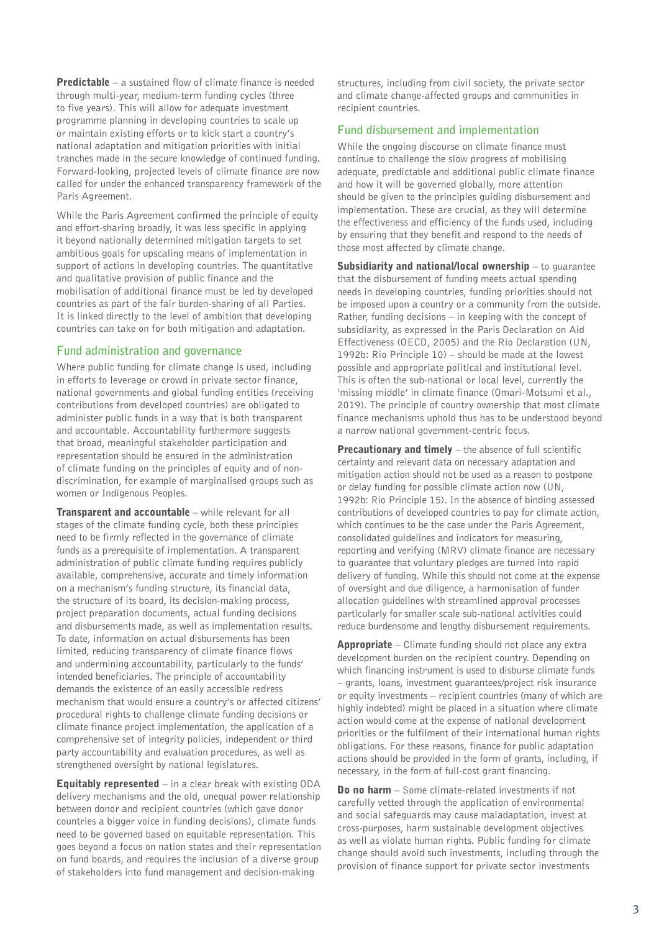Predictable – a sustained flow of climate finance is needed through multi-year, medium-term funding cycles (three to five years). This will allow for adequate investment programme planning in developing countries to scale up or maintain existing efforts or to kick start a country's national adaptation and mitigation priorities with initial tranches made in the secure knowledge of continued funding. Forward-looking, projected levels of climate finance are now called for under the enhanced transparency framework of the Paris Agreement.

While the Paris Agreement confirmed the principle of equity and effort-sharing broadly, it was less specific in applying it beyond nationally determined mitigation targets to set ambitious goals for upscaling means of implementation in support of actions in developing countries. The quantitative and qualitative provision of public finance and the mobilisation of additional finance must be led by developed countries as part of the fair burden-sharing of all Parties. It is linked directly to the level of ambition that developing countries can take on for both mitigation and adaptation.

### **Fund administration and governance**

Where public funding for climate change is used, including in efforts to leverage or crowd in private sector finance, national governments and global funding entities (receiving contributions from developed countries) are obligated to administer public funds in a way that is both transparent and accountable. Accountability furthermore suggests that broad, meaningful stakeholder participation and representation should be ensured in the administration of climate funding on the principles of equity and of nondiscrimination, for example of marginalised groups such as women or Indigenous Peoples.

**Transparent and accountable** – while relevant for all stages of the climate funding cycle, both these principles need to be firmly reflected in the governance of climate funds as a prerequisite of implementation. A transparent administration of public climate funding requires publicly available, comprehensive, accurate and timely information on a mechanism's funding structure, its financial data, the structure of its board, its decision-making process, project preparation documents, actual funding decisions and disbursements made, as well as implementation results. To date, information on actual disbursements has been limited, reducing transparency of climate finance flows and undermining accountability, particularly to the funds' intended beneficiaries. The principle of accountability demands the existence of an easily accessible redress mechanism that would ensure a country's or affected citizens' procedural rights to challenge climate funding decisions or climate finance project implementation, the application of a comprehensive set of integrity policies, independent or third party accountability and evaluation procedures, as well as strengthened oversight by national legislatures.

**Equitably represented**  $-$  in a clear break with existing ODA delivery mechanisms and the old, unequal power relationship between donor and recipient countries (which gave donor countries a bigger voice in funding decisions), climate funds need to be governed based on equitable representation. This goes beyond a focus on nation states and their representation on fund boards, and requires the inclusion of a diverse group of stakeholders into fund management and decision-making

structures, including from civil society, the private sector and climate change-affected groups and communities in recipient countries.

## **Fund disbursement and implementation**

While the ongoing discourse on climate finance must continue to challenge the slow progress of mobilising adequate, predictable and additional public climate finance and how it will be governed globally, more attention should be given to the principles guiding disbursement and implementation. These are crucial, as they will determine the effectiveness and efficiency of the funds used, including by ensuring that they benefit and respond to the needs of those most affected by climate change.

Subsidiarity and national/local ownership – to quarantee that the disbursement of funding meets actual spending needs in developing countries, funding priorities should not be imposed upon a country or a community from the outside. Rather, funding decisions – in keeping with the concept of subsidiarity, as expressed in the Paris Declaration on Aid Effectiveness (OECD, 2005) and the Rio Declaration (UN, 1992b: Rio Principle 10) – should be made at the lowest possible and appropriate political and institutional level. This is often the sub-national or local level, currently the 'missing middle' in climate finance (Omari-Motsumi et al., 2019). The principle of country ownership that most climate finance mechanisms uphold thus has to be understood beyond a narrow national government-centric focus.

Precautionary and timely – the absence of full scientific certainty and relevant data on necessary adaptation and mitigation action should not be used as a reason to postpone or delay funding for possible climate action now (UN, 1992b: Rio Principle 15). In the absence of binding assessed contributions of developed countries to pay for climate action, which continues to be the case under the Paris Agreement, consolidated guidelines and indicators for measuring, reporting and verifying (MRV) climate finance are necessary to guarantee that voluntary pledges are turned into rapid delivery of funding. While this should not come at the expense of oversight and due diligence, a harmonisation of funder allocation guidelines with streamlined approval processes particularly for smaller scale sub-national activities could reduce burdensome and lengthy disbursement requirements.

**Appropriate** – Climate funding should not place any extra development burden on the recipient country. Depending on which financing instrument is used to disburse climate funds – grants, loans, investment guarantees/project risk insurance or equity investments – recipient countries (many of which are highly indebted) might be placed in a situation where climate action would come at the expense of national development priorities or the fulfilment of their international human rights obligations. For these reasons, finance for public adaptation actions should be provided in the form of grants, including, if necessary, in the form of full-cost grant financing.

**Do no harm** – Some climate-related investments if not carefully vetted through the application of environmental and social safeguards may cause maladaptation, invest at cross-purposes, harm sustainable development objectives as well as violate human rights. Public funding for climate change should avoid such investments, including through the provision of finance support for private sector investments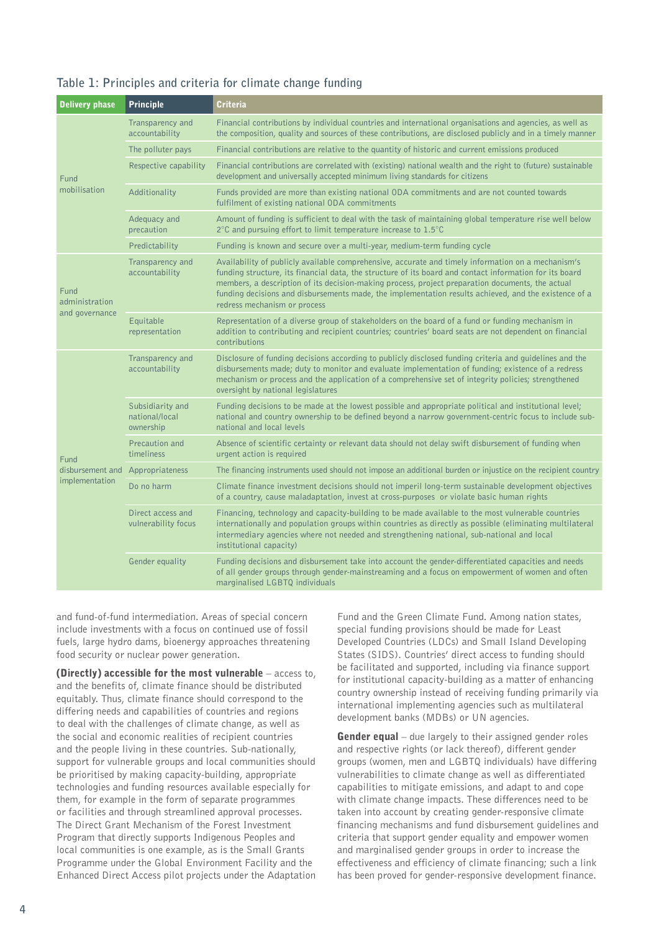| Table 1: Principles and criteria for climate change funding |  |  |  |
|-------------------------------------------------------------|--|--|--|
|-------------------------------------------------------------|--|--|--|

| <b>Delivery phase</b>                      | <b>Principle</b>                                | <b>Criteria</b>                                                                                                                                                                                                                                                                                                                                                                                                                                            |  |  |
|--------------------------------------------|-------------------------------------------------|------------------------------------------------------------------------------------------------------------------------------------------------------------------------------------------------------------------------------------------------------------------------------------------------------------------------------------------------------------------------------------------------------------------------------------------------------------|--|--|
| Fund<br>mobilisation                       | Transparency and<br>accountability              | Financial contributions by individual countries and international organisations and agencies, as well as<br>the composition, quality and sources of these contributions, are disclosed publicly and in a timely manner                                                                                                                                                                                                                                     |  |  |
|                                            | The polluter pays                               | Financial contributions are relative to the quantity of historic and current emissions produced                                                                                                                                                                                                                                                                                                                                                            |  |  |
|                                            | Respective capability                           | Financial contributions are correlated with (existing) national wealth and the right to (future) sustainable<br>development and universally accepted minimum living standards for citizens                                                                                                                                                                                                                                                                 |  |  |
|                                            | Additionality                                   | Funds provided are more than existing national ODA commitments and are not counted towards<br>fulfilment of existing national ODA commitments                                                                                                                                                                                                                                                                                                              |  |  |
|                                            | Adequacy and<br>precaution                      | Amount of funding is sufficient to deal with the task of maintaining global temperature rise well below<br>$2^{\circ}$ C and pursuing effort to limit temperature increase to 1.5 $^{\circ}$ C                                                                                                                                                                                                                                                             |  |  |
|                                            | Predictability                                  | Funding is known and secure over a multi-year, medium-term funding cycle                                                                                                                                                                                                                                                                                                                                                                                   |  |  |
| Fund<br>administration<br>and governance   | Transparency and<br>accountability              | Availability of publicly available comprehensive, accurate and timely information on a mechanism's<br>funding structure, its financial data, the structure of its board and contact information for its board<br>members, a description of its decision-making process, project preparation documents, the actual<br>funding decisions and disbursements made, the implementation results achieved, and the existence of a<br>redress mechanism or process |  |  |
|                                            | Equitable<br>representation                     | Representation of a diverse group of stakeholders on the board of a fund or funding mechanism in<br>addition to contributing and recipient countries; countries' board seats are not dependent on financial<br>contributions                                                                                                                                                                                                                               |  |  |
| Fund<br>disbursement and<br>implementation | Transparency and<br>accountability              | Disclosure of funding decisions according to publicly disclosed funding criteria and guidelines and the<br>disbursements made; duty to monitor and evaluate implementation of funding; existence of a redress<br>mechanism or process and the application of a comprehensive set of integrity policies; strengthened<br>oversight by national legislatures                                                                                                 |  |  |
|                                            | Subsidiarity and<br>national/local<br>ownership | Funding decisions to be made at the lowest possible and appropriate political and institutional level;<br>national and country ownership to be defined beyond a narrow government-centric focus to include sub-<br>national and local levels                                                                                                                                                                                                               |  |  |
|                                            | Precaution and<br>timeliness                    | Absence of scientific certainty or relevant data should not delay swift disbursement of funding when<br>urgent action is required                                                                                                                                                                                                                                                                                                                          |  |  |
|                                            | Appropriateness                                 | The financing instruments used should not impose an additional burden or injustice on the recipient country                                                                                                                                                                                                                                                                                                                                                |  |  |
|                                            | Do no harm                                      | Climate finance investment decisions should not imperil long-term sustainable development objectives<br>of a country, cause maladaptation, invest at cross-purposes or violate basic human rights                                                                                                                                                                                                                                                          |  |  |
|                                            | Direct access and<br>vulnerability focus        | Financing, technology and capacity-building to be made available to the most vulnerable countries<br>internationally and population groups within countries as directly as possible (eliminating multilateral<br>intermediary agencies where not needed and strengthening national, sub-national and local<br>institutional capacity)                                                                                                                      |  |  |
|                                            | Gender equality                                 | Funding decisions and disbursement take into account the gender-differentiated capacities and needs<br>of all gender groups through gender-mainstreaming and a focus on empowerment of women and often<br>marginalised LGBTQ individuals                                                                                                                                                                                                                   |  |  |

and fund-of-fund intermediation. Areas of special concern include investments with a focus on continued use of fossil fuels, large hydro dams, bioenergy approaches threatening food security or nuclear power generation.

(Directly) accessible for the most vulnerable – access to, and the benefits of, climate finance should be distributed equitably. Thus, climate finance should correspond to the differing needs and capabilities of countries and regions to deal with the challenges of climate change, as well as the social and economic realities of recipient countries and the people living in these countries. Sub-nationally, support for vulnerable groups and local communities should be prioritised by making capacity-building, appropriate technologies and funding resources available especially for them, for example in the form of separate programmes or facilities and through streamlined approval processes. The Direct Grant Mechanism of the Forest Investment Program that directly supports Indigenous Peoples and local communities is one example, as is the Small Grants Programme under the Global Environment Facility and the Enhanced Direct Access pilot projects under the Adaptation Fund and the Green Climate Fund. Among nation states, special funding provisions should be made for Least Developed Countries (LDCs) and Small Island Developing States (SIDS). Countries' direct access to funding should be facilitated and supported, including via finance support for institutional capacity-building as a matter of enhancing country ownership instead of receiving funding primarily via international implementing agencies such as multilateral development banks (MDBs) or UN agencies.

**Gender equal** – due largely to their assigned gender roles and respective rights (or lack thereof), different gender groups (women, men and LGBTQ individuals) have differing vulnerabilities to climate change as well as differentiated capabilities to mitigate emissions, and adapt to and cope with climate change impacts. These differences need to be taken into account by creating gender-responsive climate financing mechanisms and fund disbursement guidelines and criteria that support gender equality and empower women and marginalised gender groups in order to increase the effectiveness and efficiency of climate financing; such a link has been proved for gender-responsive development finance.